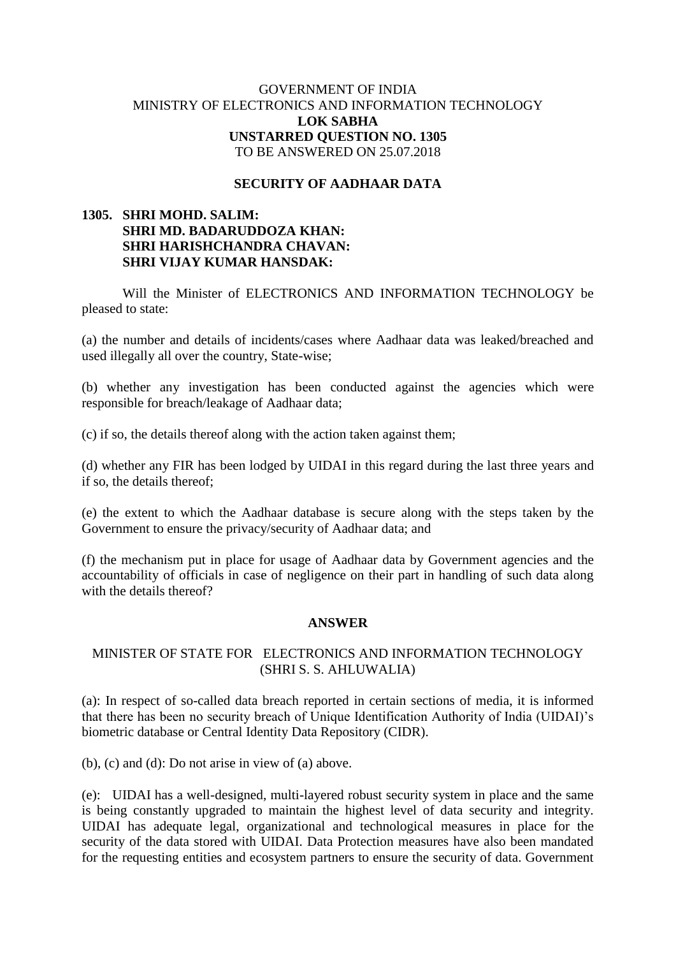# GOVERNMENT OF INDIA MINISTRY OF ELECTRONICS AND INFORMATION TECHNOLOGY **LOK SABHA UNSTARRED QUESTION NO. 1305** TO BE ANSWERED ON 25.07.2018

#### **SECURITY OF AADHAAR DATA**

# **1305. SHRI MOHD. SALIM: SHRI MD. BADARUDDOZA KHAN: SHRI HARISHCHANDRA CHAVAN: SHRI VIJAY KUMAR HANSDAK:**

Will the Minister of ELECTRONICS AND INFORMATION TECHNOLOGY be pleased to state:

(a) the number and details of incidents/cases where Aadhaar data was leaked/breached and used illegally all over the country, State-wise;

(b) whether any investigation has been conducted against the agencies which were responsible for breach/leakage of Aadhaar data;

(c) if so, the details thereof along with the action taken against them;

(d) whether any FIR has been lodged by UIDAI in this regard during the last three years and if so, the details thereof;

(e) the extent to which the Aadhaar database is secure along with the steps taken by the Government to ensure the privacy/security of Aadhaar data; and

(f) the mechanism put in place for usage of Aadhaar data by Government agencies and the accountability of officials in case of negligence on their part in handling of such data along with the details thereof?

#### **ANSWER**

# MINISTER OF STATE FOR ELECTRONICS AND INFORMATION TECHNOLOGY (SHRI S. S. AHLUWALIA)

(a): In respect of so-called data breach reported in certain sections of media, it is informed that there has been no security breach of Unique Identification Authority of India (UIDAI)'s biometric database or Central Identity Data Repository (CIDR).

(b), (c) and (d): Do not arise in view of (a) above.

(e): UIDAI has a well-designed, multi-layered robust security system in place and the same is being constantly upgraded to maintain the highest level of data security and integrity. UIDAI has adequate legal, organizational and technological measures in place for the security of the data stored with UIDAI. Data Protection measures have also been mandated for the requesting entities and ecosystem partners to ensure the security of data. Government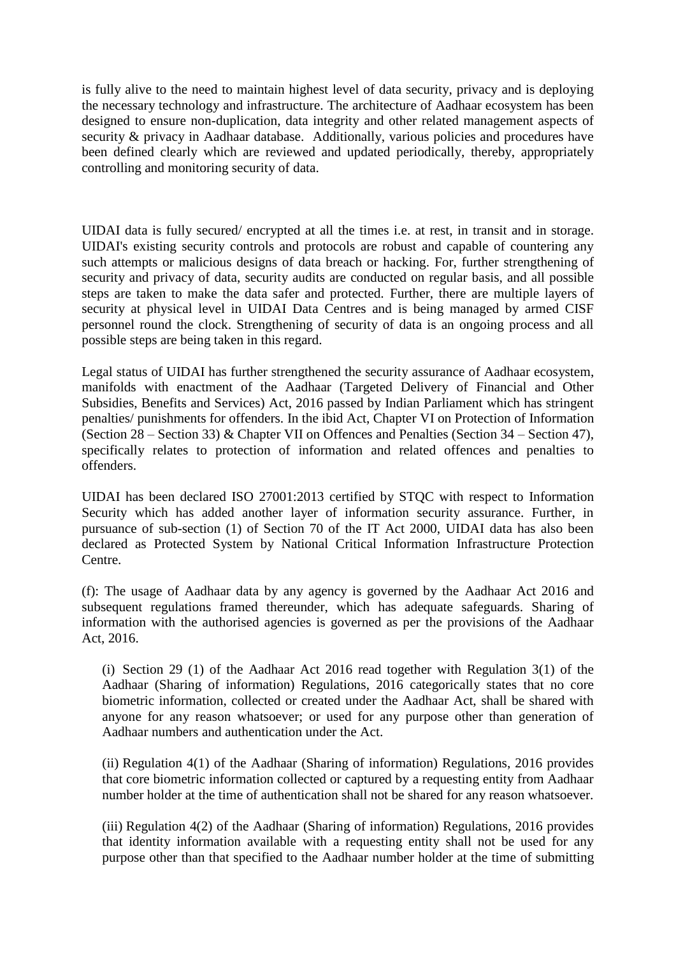is fully alive to the need to maintain highest level of data security, privacy and is deploying the necessary technology and infrastructure. The architecture of Aadhaar ecosystem has been designed to ensure non-duplication, data integrity and other related management aspects of security & privacy in Aadhaar database. Additionally, various policies and procedures have been defined clearly which are reviewed and updated periodically, thereby, appropriately controlling and monitoring security of data.

UIDAI data is fully secured/ encrypted at all the times i.e. at rest, in transit and in storage. UIDAI's existing security controls and protocols are robust and capable of countering any such attempts or malicious designs of data breach or hacking. For, further strengthening of security and privacy of data, security audits are conducted on regular basis, and all possible steps are taken to make the data safer and protected. Further, there are multiple layers of security at physical level in UIDAI Data Centres and is being managed by armed CISF personnel round the clock. Strengthening of security of data is an ongoing process and all possible steps are being taken in this regard.

Legal status of UIDAI has further strengthened the security assurance of Aadhaar ecosystem, manifolds with enactment of the Aadhaar (Targeted Delivery of Financial and Other Subsidies, Benefits and Services) Act, 2016 passed by Indian Parliament which has stringent penalties/ punishments for offenders. In the ibid Act, Chapter VI on Protection of Information (Section  $28 -$  Section 33) & Chapter VII on Offences and Penalties (Section 34 – Section 47), specifically relates to protection of information and related offences and penalties to offenders.

UIDAI has been declared ISO 27001:2013 certified by STQC with respect to Information Security which has added another layer of information security assurance. Further, in pursuance of sub-section (1) of Section 70 of the IT Act 2000, UIDAI data has also been declared as Protected System by National Critical Information Infrastructure Protection Centre.

(f): The usage of Aadhaar data by any agency is governed by the Aadhaar Act 2016 and subsequent regulations framed thereunder, which has adequate safeguards. Sharing of information with the authorised agencies is governed as per the provisions of the Aadhaar Act, 2016.

(i) Section 29 (1) of the Aadhaar Act 2016 read together with Regulation 3(1) of the Aadhaar (Sharing of information) Regulations, 2016 categorically states that no core biometric information, collected or created under the Aadhaar Act, shall be shared with anyone for any reason whatsoever; or used for any purpose other than generation of Aadhaar numbers and authentication under the Act.

(ii) Regulation 4(1) of the Aadhaar (Sharing of information) Regulations, 2016 provides that core biometric information collected or captured by a requesting entity from Aadhaar number holder at the time of authentication shall not be shared for any reason whatsoever.

(iii) Regulation 4(2) of the Aadhaar (Sharing of information) Regulations, 2016 provides that identity information available with a requesting entity shall not be used for any purpose other than that specified to the Aadhaar number holder at the time of submitting